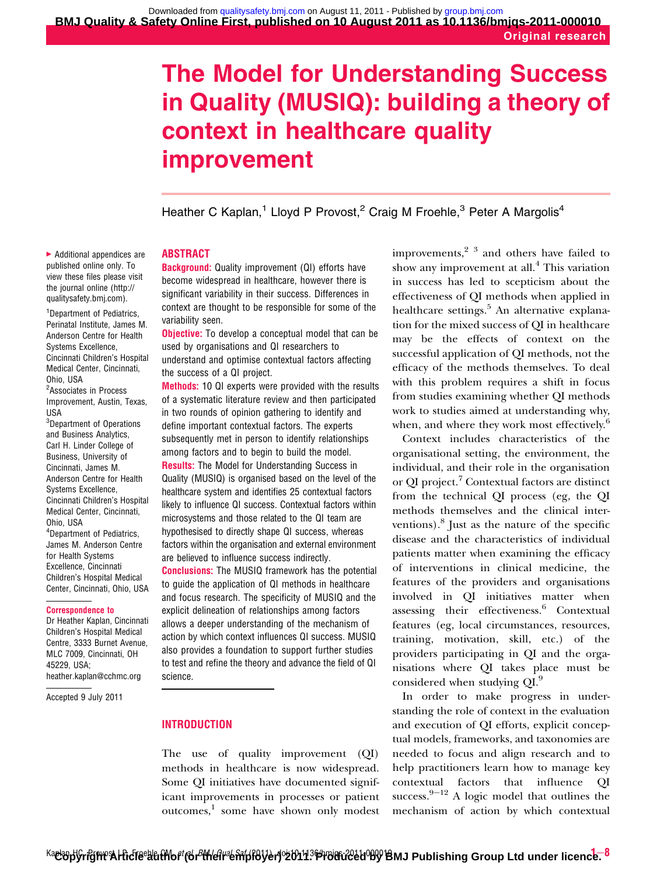# The Model for Understanding Success in Quality (MUSIQ): building a theory of context in healthcare quality improvement

Heather C Kaplan,<sup>1</sup> Lloyd P Provost,<sup>2</sup> Craig M Froehle,<sup>3</sup> Peter A Margolis<sup>4</sup>

# ABSTRACT

▶ Additional appendices are published online only. To view these files please visit the journal online (http:// qualitysafety.bmj.com). <sup>1</sup>Department of Pediatrics, Perinatal Institute, James M. Anderson Centre for Health Systems Excellence, Cincinnati Children's Hospital Medical Center, Cincinnati,

Ohio, USA

Ohio, USA

USA

<sup>2</sup>Associates in Process Improvement, Austin, Texas,

<sup>3</sup>Department of Operations and Business Analytics, Carl H. Linder College of Business, University of Cincinnati, James M. Anderson Centre for Health Systems Excellence, Cincinnati Children's Hospital Medical Center, Cincinnati,

4 Department of Pediatrics, James M. Anderson Centre for Health Systems Excellence, Cincinnati Children's Hospital Medical Center, Cincinnati, Ohio, USA **Background:** Quality improvement (QI) efforts have become widespread in healthcare, however there is significant variability in their success. Differences in context are thought to be responsible for some of the variability seen.

**Objective:** To develop a conceptual model that can be used by organisations and QI researchers to understand and optimise contextual factors affecting the success of a QI project.

Methods: 10 QI experts were provided with the results of a systematic literature review and then participated in two rounds of opinion gathering to identify and define important contextual factors. The experts subsequently met in person to identify relationships among factors and to begin to build the model. **Results:** The Model for Understanding Success in Quality (MUSIQ) is organised based on the level of the healthcare system and identifies 25 contextual factors likely to influence QI success. Contextual factors within microsystems and those related to the QI team are hypothesised to directly shape QI success, whereas factors within the organisation and external environment are believed to influence success indirectly.

Conclusions: The MUSIQ framework has the potential to guide the application of QI methods in healthcare and focus research. The specificity of MUSIQ and the explicit delineation of relationships among factors allows a deeper understanding of the mechanism of action by which context influences QI success. MUSIQ also provides a foundation to support further studies to test and refine the theory and advance the field of QI science.

Accepted 9 July 2011

heather.kaplan@cchmc.org

Correspondence to Dr Heather Kaplan, Cincinnati Children's Hospital Medical Centre, 3333 Burnet Avenue, MLC 7009, Cincinnati, OH

45229, USA;

## **INTRODUCTION**

The use of quality improvement (QI) methods in healthcare is now widespread. Some QI initiatives have documented significant improvements in processes or patient  $outcomes<sup>1</sup>$  some have shown only modest improvements, $2^{3}$  and others have failed to show any improvement at all.<sup>4</sup> This variation in success has led to scepticism about the effectiveness of QI methods when applied in healthcare settings.<sup>5</sup> An alternative explanation for the mixed success of QI in healthcare may be the effects of context on the successful application of QI methods, not the efficacy of the methods themselves. To deal with this problem requires a shift in focus from studies examining whether QI methods work to studies aimed at understanding why, when, and where they work most effectively.<sup>6</sup>

Context includes characteristics of the organisational setting, the environment, the individual, and their role in the organisation or QI project.<sup>7</sup> Contextual factors are distinct from the technical QI process (eg, the QI methods themselves and the clinical interventions).<sup>8</sup> Just as the nature of the specific disease and the characteristics of individual patients matter when examining the efficacy of interventions in clinical medicine, the features of the providers and organisations involved in QI initiatives matter when assessing their effectiveness.<sup>6</sup> Contextual features (eg, local circumstances, resources, training, motivation, skill, etc.) of the providers participating in QI and the organisations where QI takes place must be considered when studying QI.<sup>9</sup>

In order to make progress in understanding the role of context in the evaluation and execution of QI efforts, explicit conceptual models, frameworks, and taxonomies are needed to focus and align research and to help practitioners learn how to manage key contextual factors that influence QI success. $9-12$  A logic model that outlines the mechanism of action by which contextual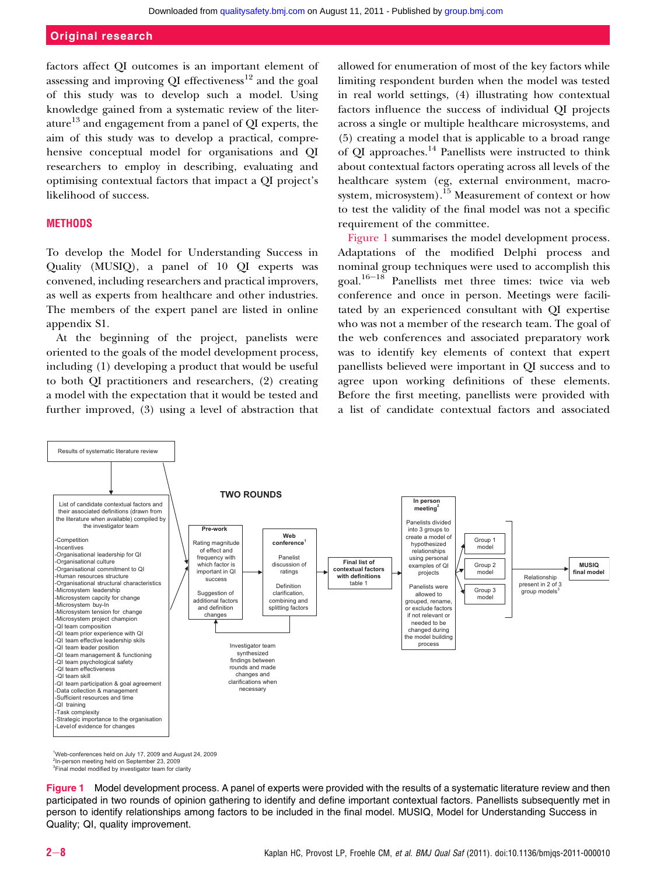factors affect QI outcomes is an important element of assessing and improving QI effectiveness $12$  and the goal of this study was to develop such a model. Using knowledge gained from a systematic review of the literature<sup>13</sup> and engagement from a panel of QI experts, the aim of this study was to develop a practical, comprehensive conceptual model for organisations and QI researchers to employ in describing, evaluating and optimising contextual factors that impact a QI project's likelihood of success.

### **METHODS**

To develop the Model for Understanding Success in Quality (MUSIQ), a panel of 10 QI experts was convened, including researchers and practical improvers, as well as experts from healthcare and other industries. The members of the expert panel are listed in online appendix S1.

At the beginning of the project, panelists were oriented to the goals of the model development process, including (1) developing a product that would be useful to both QI practitioners and researchers, (2) creating a model with the expectation that it would be tested and further improved, (3) using a level of abstraction that

allowed for enumeration of most of the key factors while limiting respondent burden when the model was tested in real world settings, (4) illustrating how contextual factors influence the success of individual QI projects across a single or multiple healthcare microsystems, and (5) creating a model that is applicable to a broad range of QI approaches.<sup>14</sup> Panellists were instructed to think about contextual factors operating across all levels of the healthcare system (eg, external environment, macrosystem, microsystem).<sup>15</sup> Measurement of context or how to test the validity of the final model was not a specific requirement of the committee.

Figure 1 summarises the model development process. Adaptations of the modified Delphi process and nominal group techniques were used to accomplish this  $\gamma$ goal.<sup>16–18</sup> Panellists met three times: twice via web conference and once in person. Meetings were facilitated by an experienced consultant with QI expertise who was not a member of the research team. The goal of the web conferences and associated preparatory work was to identify key elements of context that expert panellists believed were important in QI success and to agree upon working definitions of these elements. Before the first meeting, panellists were provided with a list of candidate contextual factors and associated



<sup>1</sup>Web-conferences held on July 17, 2009 and August 24, 2009<br><sup>2</sup>In-person meeting held on September 23, 2009<br><sup>3</sup>Final model modified by investigator team for clarity

Figure 1 Model development process. A panel of experts were provided with the results of a systematic literature review and then participated in two rounds of opinion gathering to identify and define important contextual factors. Panellists subsequently met in person to identify relationships among factors to be included in the final model. MUSIQ, Model for Understanding Success in Quality; QI, quality improvement.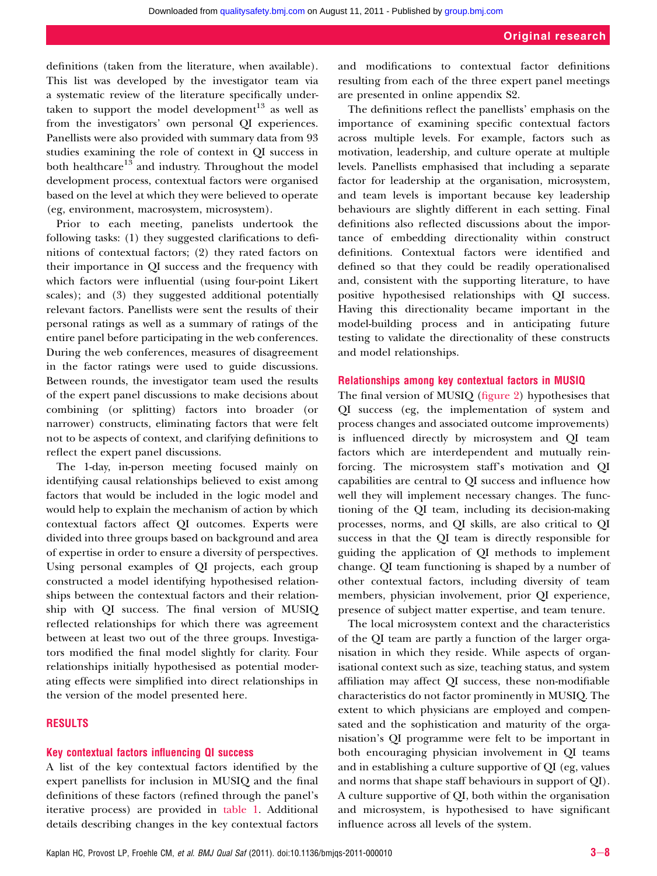definitions (taken from the literature, when available). This list was developed by the investigator team via a systematic review of the literature specifically undertaken to support the model development<sup>13</sup> as well as from the investigators' own personal QI experiences. Panellists were also provided with summary data from 93 studies examining the role of context in QI success in both healthcare<sup>13</sup> and industry. Throughout the model development process, contextual factors were organised based on the level at which they were believed to operate (eg, environment, macrosystem, microsystem).

Prior to each meeting, panelists undertook the following tasks: (1) they suggested clarifications to definitions of contextual factors; (2) they rated factors on their importance in QI success and the frequency with which factors were influential (using four-point Likert scales); and (3) they suggested additional potentially relevant factors. Panellists were sent the results of their personal ratings as well as a summary of ratings of the entire panel before participating in the web conferences. During the web conferences, measures of disagreement in the factor ratings were used to guide discussions. Between rounds, the investigator team used the results of the expert panel discussions to make decisions about combining (or splitting) factors into broader (or narrower) constructs, eliminating factors that were felt not to be aspects of context, and clarifying definitions to reflect the expert panel discussions.

The 1-day, in-person meeting focused mainly on identifying causal relationships believed to exist among factors that would be included in the logic model and would help to explain the mechanism of action by which contextual factors affect QI outcomes. Experts were divided into three groups based on background and area of expertise in order to ensure a diversity of perspectives. Using personal examples of QI projects, each group constructed a model identifying hypothesised relationships between the contextual factors and their relationship with QI success. The final version of MUSIQ reflected relationships for which there was agreement between at least two out of the three groups. Investigators modified the final model slightly for clarity. Four relationships initially hypothesised as potential moderating effects were simplified into direct relationships in the version of the model presented here.

#### RESULTS

#### Key contextual factors influencing QI success

A list of the key contextual factors identified by the expert panellists for inclusion in MUSIQ and the final definitions of these factors (refined through the panel's iterative process) are provided in table 1. Additional details describing changes in the key contextual factors

and modifications to contextual factor definitions resulting from each of the three expert panel meetings are presented in online appendix S2.

The definitions reflect the panellists' emphasis on the importance of examining specific contextual factors across multiple levels. For example, factors such as motivation, leadership, and culture operate at multiple levels. Panellists emphasised that including a separate factor for leadership at the organisation, microsystem, and team levels is important because key leadership behaviours are slightly different in each setting. Final definitions also reflected discussions about the importance of embedding directionality within construct definitions. Contextual factors were identified and defined so that they could be readily operationalised and, consistent with the supporting literature, to have positive hypothesised relationships with QI success. Having this directionality became important in the model-building process and in anticipating future testing to validate the directionality of these constructs and model relationships.

#### Relationships among key contextual factors in MUSIQ

The final version of MUSIQ (figure 2) hypothesises that QI success (eg, the implementation of system and process changes and associated outcome improvements) is influenced directly by microsystem and QI team factors which are interdependent and mutually reinforcing. The microsystem staff's motivation and QI capabilities are central to QI success and influence how well they will implement necessary changes. The functioning of the QI team, including its decision-making processes, norms, and QI skills, are also critical to QI success in that the QI team is directly responsible for guiding the application of QI methods to implement change. QI team functioning is shaped by a number of other contextual factors, including diversity of team members, physician involvement, prior QI experience, presence of subject matter expertise, and team tenure.

The local microsystem context and the characteristics of the QI team are partly a function of the larger organisation in which they reside. While aspects of organisational context such as size, teaching status, and system affiliation may affect QI success, these non-modifiable characteristics do not factor prominently in MUSIQ. The extent to which physicians are employed and compensated and the sophistication and maturity of the organisation's QI programme were felt to be important in both encouraging physician involvement in QI teams and in establishing a culture supportive of QI (eg, values and norms that shape staff behaviours in support of QI). A culture supportive of QI, both within the organisation and microsystem, is hypothesised to have significant influence across all levels of the system.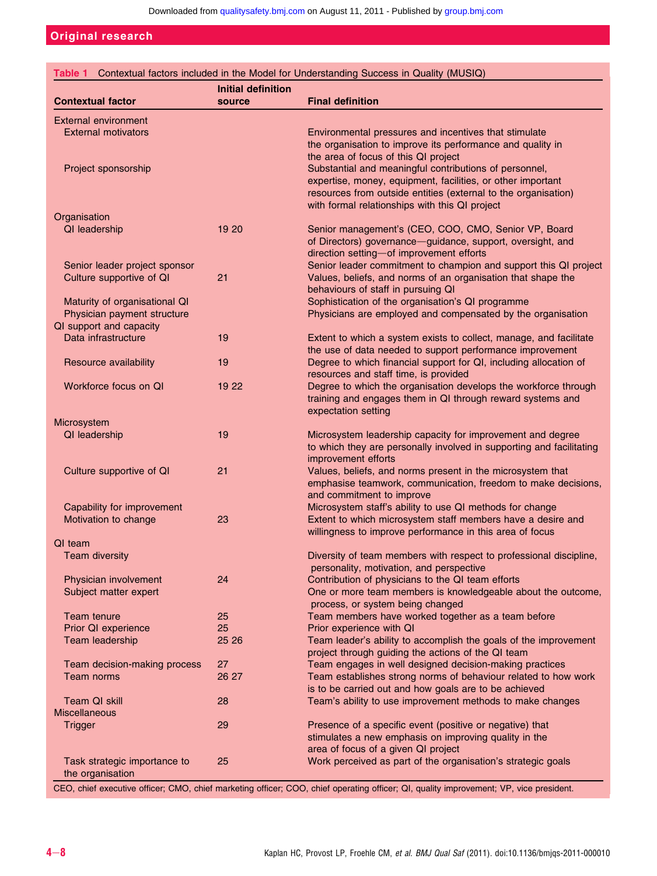|                               | Table 1 Contextual factors included in the Model for Understanding Success in Quality (MUSIQ) |                                                                                                                         |  |  |  |
|-------------------------------|-----------------------------------------------------------------------------------------------|-------------------------------------------------------------------------------------------------------------------------|--|--|--|
|                               | <b>Initial definition</b>                                                                     |                                                                                                                         |  |  |  |
| <b>Contextual factor</b>      | source                                                                                        | <b>Final definition</b>                                                                                                 |  |  |  |
| <b>External environment</b>   |                                                                                               |                                                                                                                         |  |  |  |
| <b>External motivators</b>    |                                                                                               | Environmental pressures and incentives that stimulate                                                                   |  |  |  |
|                               |                                                                                               | the organisation to improve its performance and quality in                                                              |  |  |  |
| Project sponsorship           |                                                                                               | the area of focus of this QI project<br>Substantial and meaningful contributions of personnel,                          |  |  |  |
|                               |                                                                                               | expertise, money, equipment, facilities, or other important                                                             |  |  |  |
|                               |                                                                                               | resources from outside entities (external to the organisation)                                                          |  |  |  |
|                               |                                                                                               | with formal relationships with this QI project                                                                          |  |  |  |
| Organisation                  |                                                                                               |                                                                                                                         |  |  |  |
| QI leadership                 | 19 20                                                                                         | Senior management's (CEO, COO, CMO, Senior VP, Board                                                                    |  |  |  |
|                               |                                                                                               | of Directors) governance-guidance, support, oversight, and                                                              |  |  |  |
|                               |                                                                                               | direction setting-of improvement efforts                                                                                |  |  |  |
| Senior leader project sponsor |                                                                                               | Senior leader commitment to champion and support this QI project                                                        |  |  |  |
| Culture supportive of QI      | 21                                                                                            | Values, beliefs, and norms of an organisation that shape the<br>behaviours of staff in pursuing QI                      |  |  |  |
| Maturity of organisational QI |                                                                                               | Sophistication of the organisation's QI programme                                                                       |  |  |  |
| Physician payment structure   |                                                                                               | Physicians are employed and compensated by the organisation                                                             |  |  |  |
| QI support and capacity       |                                                                                               |                                                                                                                         |  |  |  |
| Data infrastructure           | 19                                                                                            | Extent to which a system exists to collect, manage, and facilitate                                                      |  |  |  |
|                               |                                                                                               | the use of data needed to support performance improvement                                                               |  |  |  |
| Resource availability         | 19                                                                                            | Degree to which financial support for QI, including allocation of                                                       |  |  |  |
|                               |                                                                                               | resources and staff time, is provided                                                                                   |  |  |  |
| Workforce focus on QI         | 19 22                                                                                         | Degree to which the organisation develops the workforce through                                                         |  |  |  |
|                               |                                                                                               | training and engages them in QI through reward systems and                                                              |  |  |  |
| Microsystem                   |                                                                                               | expectation setting                                                                                                     |  |  |  |
| QI leadership                 | 19                                                                                            | Microsystem leadership capacity for improvement and degree                                                              |  |  |  |
|                               |                                                                                               | to which they are personally involved in supporting and facilitating                                                    |  |  |  |
|                               |                                                                                               | improvement efforts                                                                                                     |  |  |  |
| Culture supportive of QI      | 21                                                                                            | Values, beliefs, and norms present in the microsystem that                                                              |  |  |  |
|                               |                                                                                               | emphasise teamwork, communication, freedom to make decisions,                                                           |  |  |  |
|                               |                                                                                               | and commitment to improve                                                                                               |  |  |  |
| Capability for improvement    |                                                                                               | Microsystem staff's ability to use QI methods for change<br>Extent to which microsystem staff members have a desire and |  |  |  |
| Motivation to change          | 23                                                                                            | willingness to improve performance in this area of focus                                                                |  |  |  |
| QI team                       |                                                                                               |                                                                                                                         |  |  |  |
| <b>Team diversity</b>         |                                                                                               | Diversity of team members with respect to professional discipline,                                                      |  |  |  |
|                               |                                                                                               | personality, motivation, and perspective                                                                                |  |  |  |
| Physician involvement         | 24                                                                                            | Contribution of physicians to the QI team efforts                                                                       |  |  |  |
| Subject matter expert         |                                                                                               | One or more team members is knowledgeable about the outcome,                                                            |  |  |  |
|                               |                                                                                               | process, or system being changed                                                                                        |  |  |  |
| Team tenure                   | 25                                                                                            | Team members have worked together as a team before                                                                      |  |  |  |
| Prior QI experience           | 25<br>25 26                                                                                   | Prior experience with QI<br>Team leader's ability to accomplish the goals of the improvement                            |  |  |  |
| Team leadership               |                                                                                               | project through guiding the actions of the QI team                                                                      |  |  |  |
| Team decision-making process  | 27                                                                                            | Team engages in well designed decision-making practices                                                                 |  |  |  |
| Team norms                    | 26 27                                                                                         | Team establishes strong norms of behaviour related to how work                                                          |  |  |  |
|                               |                                                                                               | is to be carried out and how goals are to be achieved                                                                   |  |  |  |
| <b>Team QI skill</b>          | 28                                                                                            | Team's ability to use improvement methods to make changes                                                               |  |  |  |
| <b>Miscellaneous</b>          |                                                                                               |                                                                                                                         |  |  |  |
| <b>Trigger</b>                | 29                                                                                            | Presence of a specific event (positive or negative) that                                                                |  |  |  |
|                               |                                                                                               | stimulates a new emphasis on improving quality in the<br>area of focus of a given QI project                            |  |  |  |
| Task strategic importance to  | 25                                                                                            | Work perceived as part of the organisation's strategic goals                                                            |  |  |  |
| the organisation              |                                                                                               |                                                                                                                         |  |  |  |

CEO, chief executive officer; CMO, chief marketing officer; COO, chief operating officer; QI, quality improvement; VP, vice president.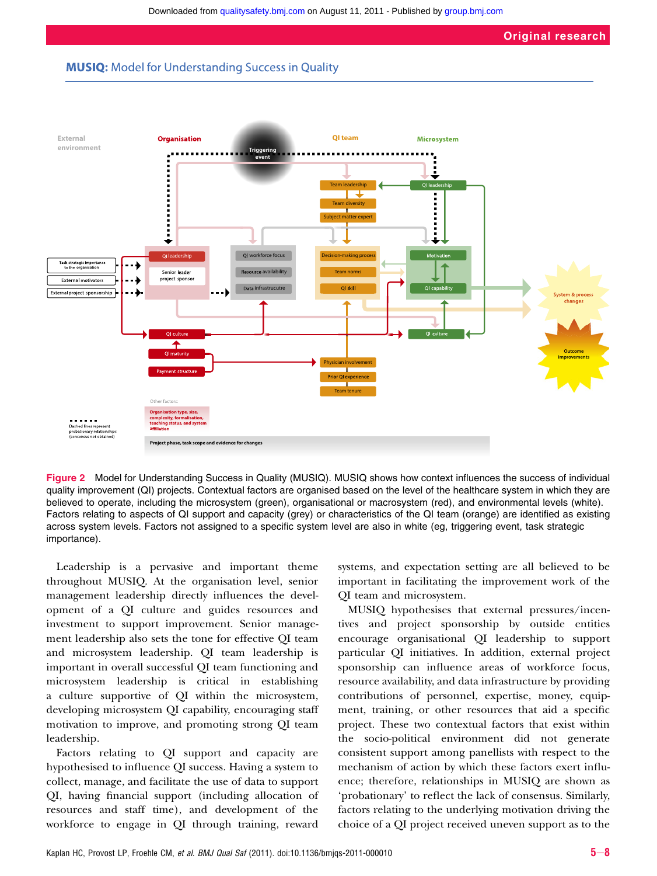# **MUSIQ:** Model for Understanding Success in Quality



Figure 2 Model for Understanding Success in Quality (MUSIQ). MUSIQ shows how context influences the success of individual quality improvement (QI) projects. Contextual factors are organised based on the level of the healthcare system in which they are believed to operate, including the microsystem (green), organisational or macrosystem (red), and environmental levels (white). Factors relating to aspects of QI support and capacity (grey) or characteristics of the QI team (orange) are identified as existing across system levels. Factors not assigned to a specific system level are also in white (eg, triggering event, task strategic importance).

Leadership is a pervasive and important theme throughout MUSIQ. At the organisation level, senior management leadership directly influences the development of a QI culture and guides resources and investment to support improvement. Senior management leadership also sets the tone for effective QI team and microsystem leadership. QI team leadership is important in overall successful QI team functioning and microsystem leadership is critical in establishing a culture supportive of QI within the microsystem, developing microsystem QI capability, encouraging staff motivation to improve, and promoting strong QI team leadership.

Factors relating to QI support and capacity are hypothesised to influence QI success. Having a system to collect, manage, and facilitate the use of data to support QI, having financial support (including allocation of resources and staff time), and development of the workforce to engage in QI through training, reward systems, and expectation setting are all believed to be important in facilitating the improvement work of the QI team and microsystem.

MUSIQ hypothesises that external pressures/incentives and project sponsorship by outside entities encourage organisational QI leadership to support particular QI initiatives. In addition, external project sponsorship can influence areas of workforce focus, resource availability, and data infrastructure by providing contributions of personnel, expertise, money, equipment, training, or other resources that aid a specific project. These two contextual factors that exist within the socio-political environment did not generate consistent support among panellists with respect to the mechanism of action by which these factors exert influence; therefore, relationships in MUSIQ are shown as 'probationary' to reflect the lack of consensus. Similarly, factors relating to the underlying motivation driving the choice of a QI project received uneven support as to the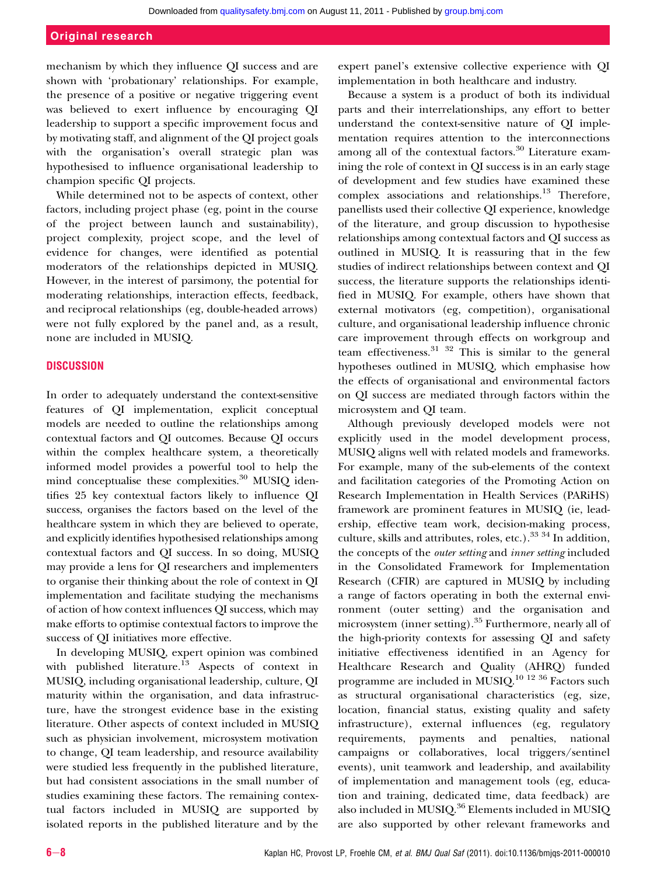mechanism by which they influence QI success and are shown with 'probationary' relationships. For example, the presence of a positive or negative triggering event was believed to exert influence by encouraging QI leadership to support a specific improvement focus and by motivating staff, and alignment of the QI project goals with the organisation's overall strategic plan was hypothesised to influence organisational leadership to champion specific QI projects.

While determined not to be aspects of context, other factors, including project phase (eg, point in the course of the project between launch and sustainability), project complexity, project scope, and the level of evidence for changes, were identified as potential moderators of the relationships depicted in MUSIQ. However, in the interest of parsimony, the potential for moderating relationships, interaction effects, feedback, and reciprocal relationships (eg, double-headed arrows) were not fully explored by the panel and, as a result, none are included in MUSIQ.

#### **DISCUSSION**

In order to adequately understand the context-sensitive features of QI implementation, explicit conceptual models are needed to outline the relationships among contextual factors and QI outcomes. Because QI occurs within the complex healthcare system, a theoretically informed model provides a powerful tool to help the mind conceptualise these complexities. $30$  MUSIQ identifies 25 key contextual factors likely to influence QI success, organises the factors based on the level of the healthcare system in which they are believed to operate, and explicitly identifies hypothesised relationships among contextual factors and QI success. In so doing, MUSIQ may provide a lens for QI researchers and implementers to organise their thinking about the role of context in QI implementation and facilitate studying the mechanisms of action of how context influences QI success, which may make efforts to optimise contextual factors to improve the success of QI initiatives more effective.

In developing MUSIQ, expert opinion was combined with published literature.<sup>13</sup> Aspects of context in MUSIQ, including organisational leadership, culture, QI maturity within the organisation, and data infrastructure, have the strongest evidence base in the existing literature. Other aspects of context included in MUSIQ such as physician involvement, microsystem motivation to change, QI team leadership, and resource availability were studied less frequently in the published literature, but had consistent associations in the small number of studies examining these factors. The remaining contextual factors included in MUSIQ are supported by isolated reports in the published literature and by the

expert panel's extensive collective experience with QI implementation in both healthcare and industry.

Because a system is a product of both its individual parts and their interrelationships, any effort to better understand the context-sensitive nature of QI implementation requires attention to the interconnections among all of the contextual factors.<sup>30</sup> Literature examining the role of context in QI success is in an early stage of development and few studies have examined these complex associations and relationships.<sup>13</sup> Therefore, panellists used their collective QI experience, knowledge of the literature, and group discussion to hypothesise relationships among contextual factors and QI success as outlined in MUSIQ. It is reassuring that in the few studies of indirect relationships between context and QI success, the literature supports the relationships identified in MUSIQ. For example, others have shown that external motivators (eg, competition), organisational culture, and organisational leadership influence chronic care improvement through effects on workgroup and team effectiveness. $31 \frac{32}{10}$  This is similar to the general hypotheses outlined in MUSIQ, which emphasise how the effects of organisational and environmental factors on QI success are mediated through factors within the microsystem and QI team.

Although previously developed models were not explicitly used in the model development process, MUSIQ aligns well with related models and frameworks. For example, many of the sub-elements of the context and facilitation categories of the Promoting Action on Research Implementation in Health Services (PARiHS) framework are prominent features in MUSIQ (ie, leadership, effective team work, decision-making process, culture, skills and attributes, roles, etc.). $^{33\,34}$  In addition, the concepts of the outer setting and inner setting included in the Consolidated Framework for Implementation Research (CFIR) are captured in MUSIQ by including a range of factors operating in both the external environment (outer setting) and the organisation and microsystem (inner setting).<sup>35</sup> Furthermore, nearly all of the high-priority contexts for assessing QI and safety initiative effectiveness identified in an Agency for Healthcare Research and Quality (AHRQ) funded programme are included in MUSIQ.10 12 36 Factors such as structural organisational characteristics (eg, size, location, financial status, existing quality and safety infrastructure), external influences (eg, regulatory requirements, payments and penalties, national campaigns or collaboratives, local triggers/sentinel events), unit teamwork and leadership, and availability of implementation and management tools (eg, education and training, dedicated time, data feedback) are also included in MUSIQ. $36$  Elements included in MUSIQ. are also supported by other relevant frameworks and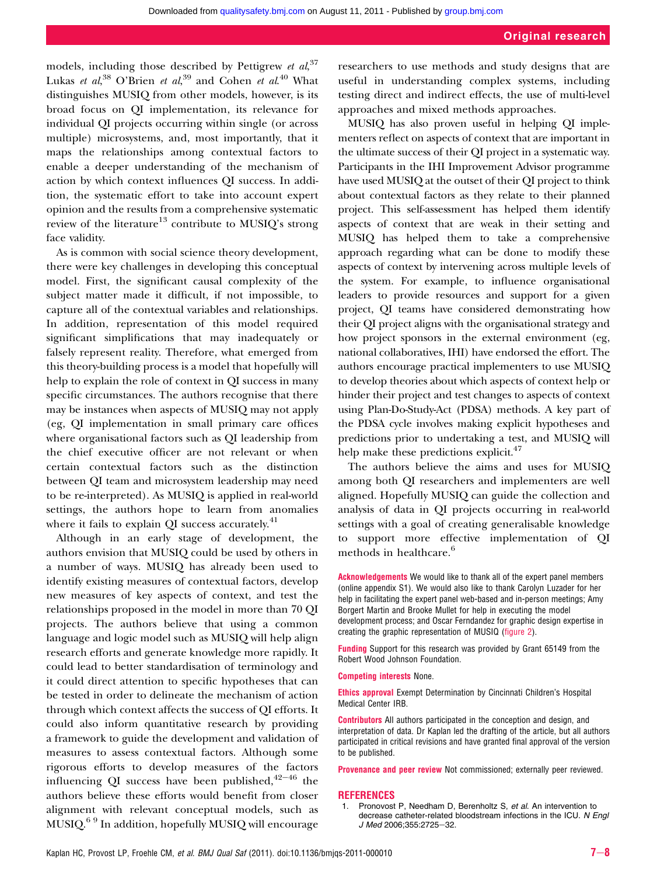models, including those described by Pettigrew *et al*,<sup>37</sup><br>Lukes et al,<sup>38</sup> Q'Brien et al,<sup>39</sup> and Cohen et al,<sup>40</sup> What Lukas *et al*,<sup>38</sup> O'Brien *et al*,<sup>39</sup> and Cohen *et al*.<sup>40</sup> What<br>distinguishes MUSIO from other models however is its distinguishes MUSIQ from other models, however, is its broad focus on QI implementation, its relevance for individual QI projects occurring within single (or across multiple) microsystems, and, most importantly, that it maps the relationships among contextual factors to enable a deeper understanding of the mechanism of action by which context influences QI success. In addition, the systematic effort to take into account expert opinion and the results from a comprehensive systematic review of the literature<sup>13</sup> contribute to MUSIQ's strong face validity.

As is common with social science theory development, there were key challenges in developing this conceptual model. First, the significant causal complexity of the subject matter made it difficult, if not impossible, to capture all of the contextual variables and relationships. In addition, representation of this model required significant simplifications that may inadequately or falsely represent reality. Therefore, what emerged from this theory-building process is a model that hopefully will help to explain the role of context in QI success in many specific circumstances. The authors recognise that there may be instances when aspects of MUSIQ may not apply (eg, QI implementation in small primary care offices where organisational factors such as QI leadership from the chief executive officer are not relevant or when certain contextual factors such as the distinction between QI team and microsystem leadership may need to be re-interpreted). As MUSIQ is applied in real-world settings, the authors hope to learn from anomalies where it fails to explain QI success accurately. $41$ 

Although in an early stage of development, the authors envision that MUSIQ could be used by others in a number of ways. MUSIQ has already been used to identify existing measures of contextual factors, develop new measures of key aspects of context, and test the relationships proposed in the model in more than 70 QI projects. The authors believe that using a common language and logic model such as MUSIQ will help align research efforts and generate knowledge more rapidly. It could lead to better standardisation of terminology and it could direct attention to specific hypotheses that can be tested in order to delineate the mechanism of action through which context affects the success of QI efforts. It could also inform quantitative research by providing a framework to guide the development and validation of measures to assess contextual factors. Although some rigorous efforts to develop measures of the factors influencing QI success have been published, $42-46$  the authors believe these efforts would benefit from closer alignment with relevant conceptual models, such as MUSIQ.6 9 In addition, hopefully MUSIQ will encourage

researchers to use methods and study designs that are useful in understanding complex systems, including testing direct and indirect effects, the use of multi-level approaches and mixed methods approaches.

MUSIQ has also proven useful in helping QI implementers reflect on aspects of context that are important in the ultimate success of their QI project in a systematic way. Participants in the IHI Improvement Advisor programme have used MUSIQ at the outset of their QI project to think about contextual factors as they relate to their planned project. This self-assessment has helped them identify aspects of context that are weak in their setting and MUSIQ has helped them to take a comprehensive approach regarding what can be done to modify these aspects of context by intervening across multiple levels of the system. For example, to influence organisational leaders to provide resources and support for a given project, QI teams have considered demonstrating how their QI project aligns with the organisational strategy and how project sponsors in the external environment (eg, national collaboratives, IHI) have endorsed the effort. The authors encourage practical implementers to use MUSIQ to develop theories about which aspects of context help or hinder their project and test changes to aspects of context using Plan-Do-Study-Act (PDSA) methods. A key part of the PDSA cycle involves making explicit hypotheses and predictions prior to undertaking a test, and MUSIQ will help make these predictions explicit. $47$ 

The authors believe the aims and uses for MUSIQ among both QI researchers and implementers are well aligned. Hopefully MUSIQ can guide the collection and analysis of data in QI projects occurring in real-world settings with a goal of creating generalisable knowledge to support more effective implementation of QI methods in healthcare.<sup>6</sup>

Acknowledgements We would like to thank all of the expert panel members (online appendix S1). We would also like to thank Carolyn Luzader for her help in facilitating the expert panel web-based and in-person meetings; Amy Borgert Martin and Brooke Mullet for help in executing the model development process; and Oscar Ferndandez for graphic design expertise in creating the graphic representation of MUSIQ (figure 2).

Funding Support for this research was provided by Grant 65149 from the Robert Wood Johnson Foundation.

Competing interests None.

Ethics approval Exempt Determination by Cincinnati Children's Hospital Medical Center IRB.

Contributors All authors participated in the conception and design, and interpretation of data. Dr Kaplan led the drafting of the article, but all authors participated in critical revisions and have granted final approval of the version to be published.

Provenance and peer review Not commissioned; externally peer reviewed.

#### **REFERENCES**

1. Pronovost P, Needham D, Berenholtz S, et al. An intervention to decrease catheter-related bloodstream infections in the ICU. N Engl  $J$  Med 2006;355:2725-32.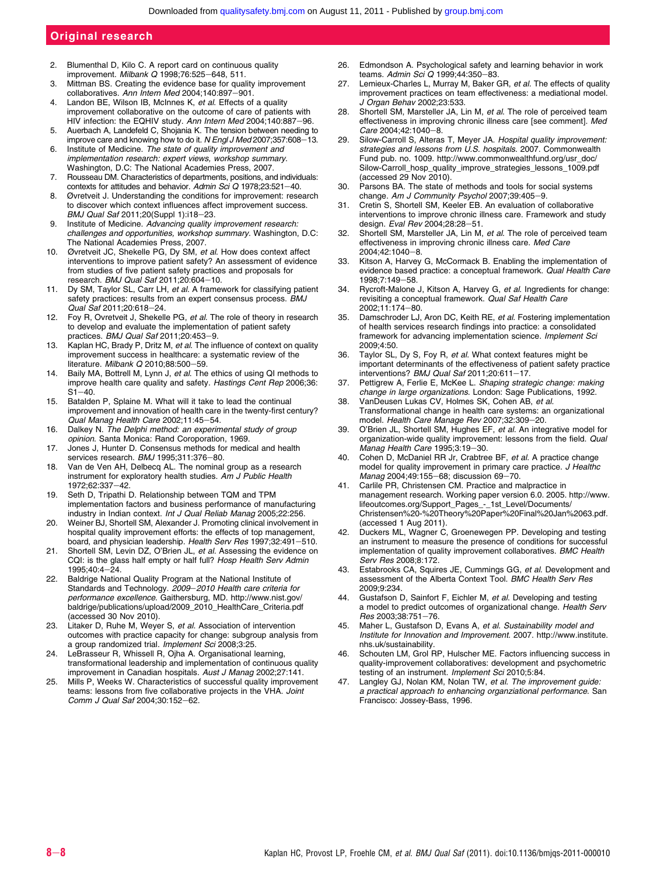- 2. Blumenthal D, Kilo C. A report card on continuous quality improvement. Milbank Q 1998;76:525-648, 511.
- 3. Mittman BS. Creating the evidence base for quality improvement collaboratives. Ann Intern Med 2004;140:897-901.
- 4. Landon BE, Wilson IB, McInnes K, et al. Effects of a quality improvement collaborative on the outcome of care of patients with HIV infection: the EQHIV study. Ann Intern Med 2004;140:887-96.
- 5. Auerbach A, Landefeld C, Shojania K. The tension between needing to improve care and knowing how to do it. N Engl J Med 2007;357:608-13.
- 6. Institute of Medicine. The state of quality improvement and implementation research: expert views, workshop summary. Washington, D.C: The National Academies Press, 2007.
- 7. Rousseau DM. Characteristics of departments, positions, and individuals: contexts for attitudes and behavior. Admin Sci Q 1978;23:521-40.
- 8. Øvretveit J. Understanding the conditions for improvement: research to discover which context influences affect improvement success. BMJ Qual Saf 2011;20(Suppl 1):i18-23.
- 9. Institute of Medicine. Advancing quality improvement research: challenges and opportunities, workshop summary. Washington, D.C: The National Academies Press, 2007.
- 10. Øvretveit JC, Shekelle PG, Dy SM, et al. How does context affect interventions to improve patient safety? An assessment of evidence from studies of five patient safety practices and proposals for research. BMJ Qual Saf 2011;20:604-10.
- 11. Dy SM, Taylor SL, Carr LH, et al. A framework for classifying patient safety practices: results from an expert consensus process. BMJ Qual Saf 2011:20:618-24.
- 12. Foy R, Ovretveit J, Shekelle PG, et al. The role of theory in research to develop and evaluate the implementation of patient safety practices.  $BMJ$  Qual Saf 2011;20:453-9.
- 13. Kaplan HC, Brady P, Dritz M, et al. The influence of context on quality improvement success in healthcare: a systematic review of the literature. Milbank  $Q$  2010;88:500-59.
- 14. Baily MA, Bottrell M, Lynn J, et al. The ethics of using QI methods to improve health care quality and safety. Hastings Cent Rep 2006;36:  $S1 - 40$ .
- 15. Batalden P, Splaine M. What will it take to lead the continual improvement and innovation of health care in the twenty-first century? Qual Manag Health Care 2002;11:45-54.
- 16. Dalkey N. The Delphi method: an experimental study of group opinion. Santa Monica: Rand Coroporation, 1969.
- 17. Jones J, Hunter D. Consensus methods for medical and health services research. BMJ 1995;311:376-80.
- 18. Van de Ven AH, Delbecq AL. The nominal group as a research instrument for exploratory health studies. Am J Public Health 1972;62:337-42.
- 19. Seth D, Tripathi D. Relationship between TQM and TPM implementation factors and business performance of manufacturing industry in Indian context. Int J Qual Reliab Manag 2005;22:256.
- 20. Weiner BJ, Shortell SM, Alexander J. Promoting clinical involvement in hospital quality improvement efforts: the effects of top management, board, and physician leadership. Health Serv Res 1997;32:491-510.
- 21. Shortell SM, Levin DZ, O'Brien JL, et al. Assessing the evidence on CQI: is the glass half empty or half full? Hosp Health Serv Admin 1995;40:4-24.
- 22. Baldrige National Quality Program at the National Institute of Standards and Technology. 2009-2010 Health care criteria for performance excellence. Gaithersburg, MD. http://www.nist.gov/ baldrige/publications/upload/2009\_2010\_HealthCare\_Criteria.pdf (accessed 30 Nov 2010).
- 23. Litaker D, Ruhe M, Weyer S, et al. Association of intervention outcomes with practice capacity for change: subgroup analysis from a group randomized trial. Implement Sci 2008;3:25.
- 24. LeBrasseur R, Whissell R, Ojha A. Organisational learning, transformational leadership and implementation of continuous quality improvement in Canadian hospitals. Aust J Manag 2002;27:141.
- 25. Mills P, Weeks W. Characteristics of successful quality improvement teams: lessons from five collaborative projects in the VHA. Joint Comm J Qual Saf 2004;30:152-62.
- 26. Edmondson A. Psychological safety and learning behavior in work teams. Admin Sci Q 1999;44:350-83.
- 27. Lemieux-Charles L, Murray M, Baker GR, et al. The effects of quality improvement practices on team effectiveness: a mediational model. J Organ Behav 2002;23:533.
- 28. Shortell SM, Marsteller JA, Lin M, et al. The role of perceived team effectiveness in improving chronic illness care [see comment]. Med Care 2004;42:1040-8.
- 29. Silow-Carroll S, Alteras T, Meyer JA. Hospital quality improvement: strategies and lessons from U.S. hospitals. 2007. Commonwealth Fund pub. no. 1009. http://www.commonwealthfund.org/usr\_doc/ Silow-Carroll\_hosp\_quality\_improve\_strategies\_lessons\_1009.pdf (accessed 29 Nov 2010).
- 30. Parsons BA. The state of methods and tools for social systems change. Am J Community Psychol 2007:39:405-9.
- 31. Cretin S, Shortell SM, Keeler EB. An evaluation of collaborative interventions to improve chronic illness care. Framework and study design. Eval Rev 2004;28:28-51.
- 32. Shortell SM, Marsteller JA, Lin M, et al. The role of perceived team effectiveness in improving chronic illness care. Med Care  $2004 \cdot 42 \cdot 1040 - 8$
- 33. Kitson A, Harvey G, McCormack B. Enabling the implementation of evidence based practice: a conceptual framework. Qual Health Care 1998:7:149-58
- 34. Rycroft-Malone J. Kitson A. Harvey G. et al. Ingredients for change: revisiting a conceptual framework. Qual Saf Health Care 2002:11:174-80.
- 35. Damschroder LJ, Aron DC, Keith RE, et al. Fostering implementation of health services research findings into practice: a consolidated framework for advancing implementation science. Implement Sci 2009;4:50.
- 36. Taylor SL, Dy S, Foy R, et al. What context features might be important determinants of the effectiveness of patient safety practice interventions? BMJ Qual Saf 2011;20:611-17.
- 37. Pettigrew A, Ferlie E, McKee L, Shaping strategic change: making change in large organizations. London: Sage Publications, 1992.
- 38. VanDeusen Lukas CV, Holmes SK, Cohen AB, et al. Transformational change in health care systems: an organizational model. Health Care Manage Rev 2007;32:309-20.
- 39. O'Brien JL, Shortell SM, Hughes EF, et al. An integrative model for organization-wide quality improvement: lessons from the field. Qual Manag Health Care 1995;3:19-30.
- 40. Cohen D, McDaniel RR Jr, Crabtree BF, et al. A practice change model for quality improvement in primary care practice. J Healthc  $Manaq$  2004;49:155-68; discussion 69-70.
- 41. Carlile PR, Christensen CM. Practice and malpractice in management research. Working paper version 6.0. 2005. http://www. lifeoutcomes.org/Support\_Pages\_-\_1st\_Level/Documents/ Christensen%20-%20Theory%20Paper%20Final%20Jan%2063.pdf. (accessed 1 Aug 2011).
- 42. Duckers ML, Wagner C, Groenewegen PP. Developing and testing an instrument to measure the presence of conditions for successful implementation of quality improvement collaboratives. BMC Health Serv Res 2008;8:172.
- 43. Estabrooks CA, Squires JE, Cummings GG, et al. Development and assessment of the Alberta Context Tool. BMC Health Serv Res 2009;9:234.
- 44. Gustafson D, Sainfort F, Eichler M, et al. Developing and testing a model to predict outcomes of organizational change. Health Serv Res 2003;38:751-76.
- 45. Maher L, Gustafson D, Evans A, et al. Sustainability model and Institute for Innovation and Improvement. 2007. http://www.institute. nhs.uk/sustainability.
- 46. Schouten LM, Grol RP, Hulscher ME. Factors influencing success in quality-improvement collaboratives: development and psychometric testing of an instrument. Implement Sci 2010;5:84.
- 47. Langley GJ, Nolan KM, Nolan TW, et al. The improvement guide: a practical approach to enhancing organziational performance. San Francisco: Jossey-Bass, 1996.